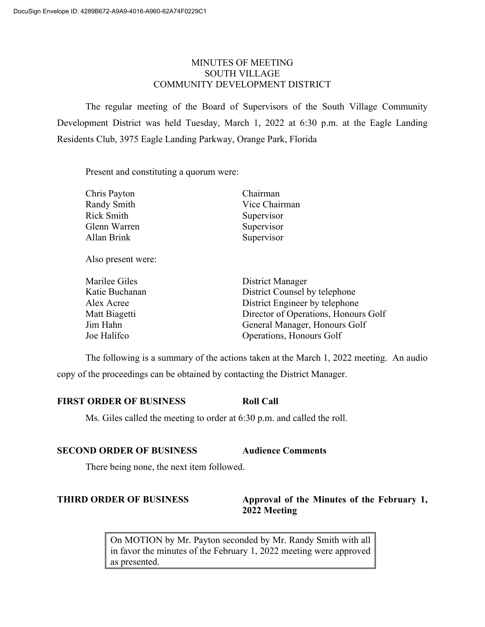# MINUTES OF MEETING SOUTH VILLAGE COMMUNITY DEVELOPMENT DISTRICT

The regular meeting of the Board of Supervisors of the South Village Community Development District was held Tuesday, March 1, 2022 at 6:30 p.m. at the Eagle Landing Residents Club, 3975 Eagle Landing Parkway, Orange Park, Florida

Present and constituting a quorum were:

| Chris Payton       | Chairman                             |
|--------------------|--------------------------------------|
| Randy Smith        | Vice Chairman                        |
| <b>Rick Smith</b>  | Supervisor                           |
| Glenn Warren       | Supervisor                           |
| Allan Brink        | Supervisor                           |
| Also present were: |                                      |
| Marilee Giles      | District Manager                     |
| Katie Buchanan     | District Counsel by telephone        |
| Alex Acree         | District Engineer by telephone       |
| Matt Biagetti      | Director of Operations, Honours Golf |

Jim Hahn General Manager, Honours Golf

Joe Halifco Operations, Honours Golf

The following is a summary of the actions taken at the March 1, 2022 meeting. An audio copy of the proceedings can be obtained by contacting the District Manager.

# **FIRST ORDER OF BUSINESS Roll Call**

Ms. Giles called the meeting to order at 6:30 p.m. and called the roll.

# **SECOND ORDER OF BUSINESS Audience Comments**

There being none, the next item followed.

# **THIRD ORDER OF BUSINESS Approval of the Minutes of the February 1, 2022 Meeting**

On MOTION by Mr. Payton seconded by Mr. Randy Smith with all in favor the minutes of the February 1, 2022 meeting were approved as presented.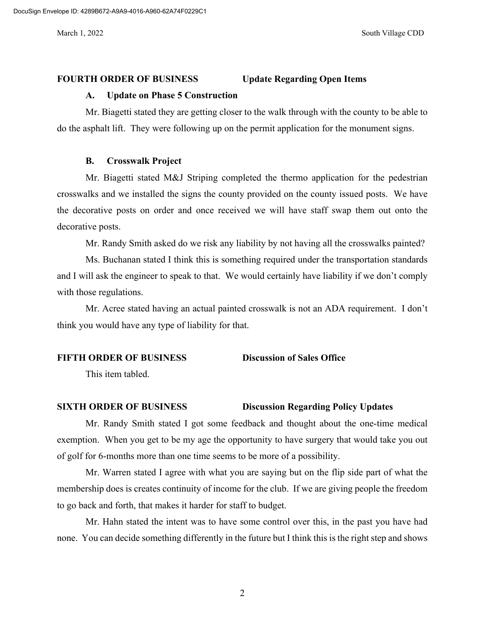#### **FOURTH ORDER OF BUSINESS Update Regarding Open Items**

## **A. Update on Phase 5 Construction**

Mr. Biagetti stated they are getting closer to the walk through with the county to be able to do the asphalt lift. They were following up on the permit application for the monument signs.

### **B. Crosswalk Project**

Mr. Biagetti stated M&J Striping completed the thermo application for the pedestrian crosswalks and we installed the signs the county provided on the county issued posts. We have the decorative posts on order and once received we will have staff swap them out onto the decorative posts.

Mr. Randy Smith asked do we risk any liability by not having all the crosswalks painted?

Ms. Buchanan stated I think this is something required under the transportation standards and I will ask the engineer to speak to that. We would certainly have liability if we don't comply with those regulations.

Mr. Acree stated having an actual painted crosswalk is not an ADA requirement. I don't think you would have any type of liability for that.

### **FIFTH ORDER OF BUSINESS Discussion of Sales Office**

This item tabled.

### **SIXTH ORDER OF BUSINESS Discussion Regarding Policy Updates**

Mr. Randy Smith stated I got some feedback and thought about the one-time medical exemption. When you get to be my age the opportunity to have surgery that would take you out of golf for 6-months more than one time seems to be more of a possibility.

Mr. Warren stated I agree with what you are saying but on the flip side part of what the membership does is creates continuity of income for the club. If we are giving people the freedom to go back and forth, that makes it harder for staff to budget.

Mr. Hahn stated the intent was to have some control over this, in the past you have had none. You can decide something differently in the future but I think this is the right step and shows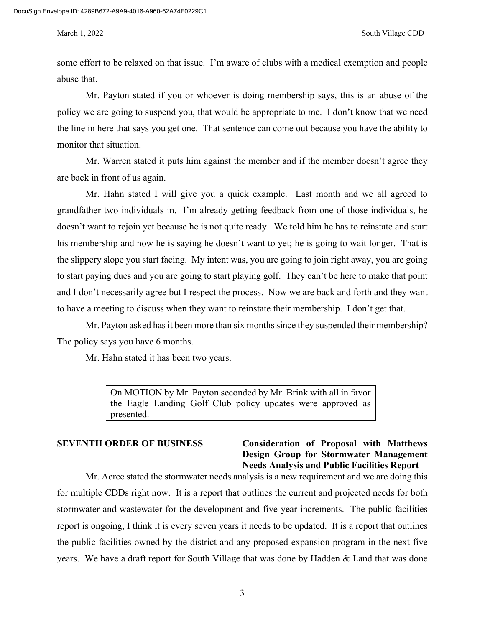some effort to be relaxed on that issue. I'm aware of clubs with a medical exemption and people abuse that.

Mr. Payton stated if you or whoever is doing membership says, this is an abuse of the policy we are going to suspend you, that would be appropriate to me. I don't know that we need the line in here that says you get one. That sentence can come out because you have the ability to monitor that situation.

Mr. Warren stated it puts him against the member and if the member doesn't agree they are back in front of us again.

Mr. Hahn stated I will give you a quick example. Last month and we all agreed to grandfather two individuals in. I'm already getting feedback from one of those individuals, he doesn't want to rejoin yet because he is not quite ready. We told him he has to reinstate and start his membership and now he is saying he doesn't want to yet; he is going to wait longer. That is the slippery slope you start facing. My intent was, you are going to join right away, you are going to start paying dues and you are going to start playing golf. They can't be here to make that point and I don't necessarily agree but I respect the process. Now we are back and forth and they want to have a meeting to discuss when they want to reinstate their membership. I don't get that.

Mr. Payton asked has it been more than six months since they suspended their membership? The policy says you have 6 months.

Mr. Hahn stated it has been two years.

On MOTION by Mr. Payton seconded by Mr. Brink with all in favor the Eagle Landing Golf Club policy updates were approved as presented.

# **SEVENTH ORDER OF BUSINESS Consideration of Proposal with Matthews Design Group for Stormwater Management Needs Analysis and Public Facilities Report**

Mr. Acree stated the stormwater needs analysis is a new requirement and we are doing this for multiple CDDs right now. It is a report that outlines the current and projected needs for both stormwater and wastewater for the development and five-year increments. The public facilities report is ongoing, I think it is every seven years it needs to be updated. It is a report that outlines the public facilities owned by the district and any proposed expansion program in the next five years. We have a draft report for South Village that was done by Hadden & Land that was done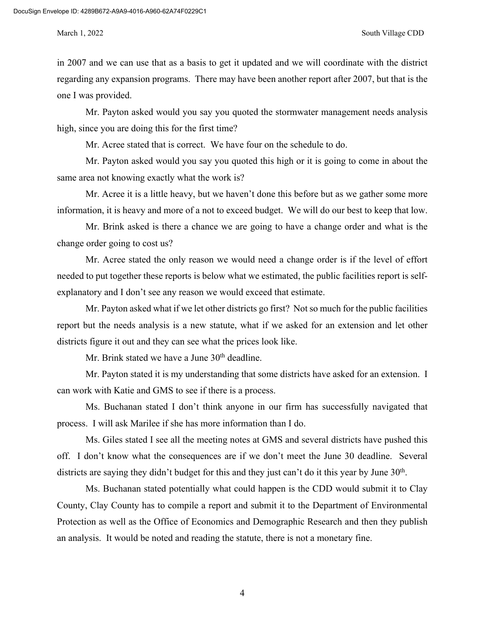in 2007 and we can use that as a basis to get it updated and we will coordinate with the district regarding any expansion programs. There may have been another report after 2007, but that is the one I was provided.

Mr. Payton asked would you say you quoted the stormwater management needs analysis high, since you are doing this for the first time?

Mr. Acree stated that is correct. We have four on the schedule to do.

Mr. Payton asked would you say you quoted this high or it is going to come in about the same area not knowing exactly what the work is?

Mr. Acree it is a little heavy, but we haven't done this before but as we gather some more information, it is heavy and more of a not to exceed budget. We will do our best to keep that low.

Mr. Brink asked is there a chance we are going to have a change order and what is the change order going to cost us?

Mr. Acree stated the only reason we would need a change order is if the level of effort needed to put together these reports is below what we estimated, the public facilities report is selfexplanatory and I don't see any reason we would exceed that estimate.

Mr. Payton asked what if we let other districts go first? Not so much for the public facilities report but the needs analysis is a new statute, what if we asked for an extension and let other districts figure it out and they can see what the prices look like.

Mr. Brink stated we have a June 30<sup>th</sup> deadline.

Mr. Payton stated it is my understanding that some districts have asked for an extension. I can work with Katie and GMS to see if there is a process.

Ms. Buchanan stated I don't think anyone in our firm has successfully navigated that process. I will ask Marilee if she has more information than I do.

Ms. Giles stated I see all the meeting notes at GMS and several districts have pushed this off. I don't know what the consequences are if we don't meet the June 30 deadline. Several districts are saying they didn't budget for this and they just can't do it this year by June 30<sup>th</sup>.

Ms. Buchanan stated potentially what could happen is the CDD would submit it to Clay County, Clay County has to compile a report and submit it to the Department of Environmental Protection as well as the Office of Economics and Demographic Research and then they publish an analysis. It would be noted and reading the statute, there is not a monetary fine.

4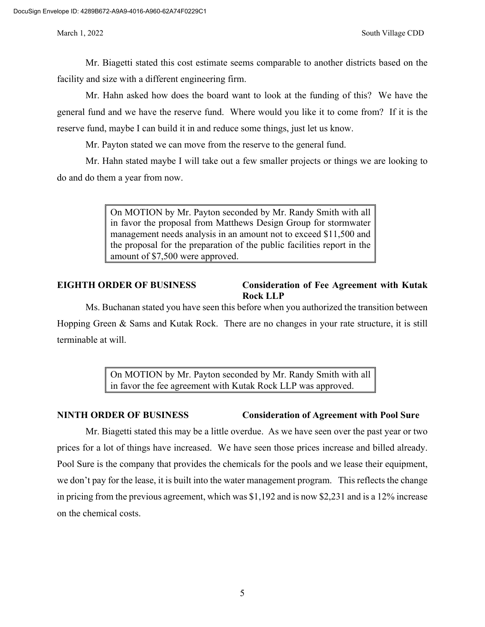Mr. Biagetti stated this cost estimate seems comparable to another districts based on the facility and size with a different engineering firm.

Mr. Hahn asked how does the board want to look at the funding of this? We have the general fund and we have the reserve fund. Where would you like it to come from? If it is the reserve fund, maybe I can build it in and reduce some things, just let us know.

Mr. Payton stated we can move from the reserve to the general fund.

Mr. Hahn stated maybe I will take out a few smaller projects or things we are looking to do and do them a year from now.

> On MOTION by Mr. Payton seconded by Mr. Randy Smith with all in favor the proposal from Matthews Design Group for stormwater management needs analysis in an amount not to exceed \$11,500 and the proposal for the preparation of the public facilities report in the amount of \$7,500 were approved.

# **EIGHTH ORDER OF BUSINESS Consideration of Fee Agreement with Kutak Rock LLP**

Ms. Buchanan stated you have seen this before when you authorized the transition between Hopping Green & Sams and Kutak Rock. There are no changes in your rate structure, it is still terminable at will.

> On MOTION by Mr. Payton seconded by Mr. Randy Smith with all in favor the fee agreement with Kutak Rock LLP was approved.

# **NINTH ORDER OF BUSINESS Consideration of Agreement with Pool Sure**

Mr. Biagetti stated this may be a little overdue. As we have seen over the past year or two prices for a lot of things have increased. We have seen those prices increase and billed already. Pool Sure is the company that provides the chemicals for the pools and we lease their equipment, we don't pay for the lease, it is built into the water management program. This reflects the change in pricing from the previous agreement, which was \$1,192 and is now \$2,231 and is a 12% increase on the chemical costs.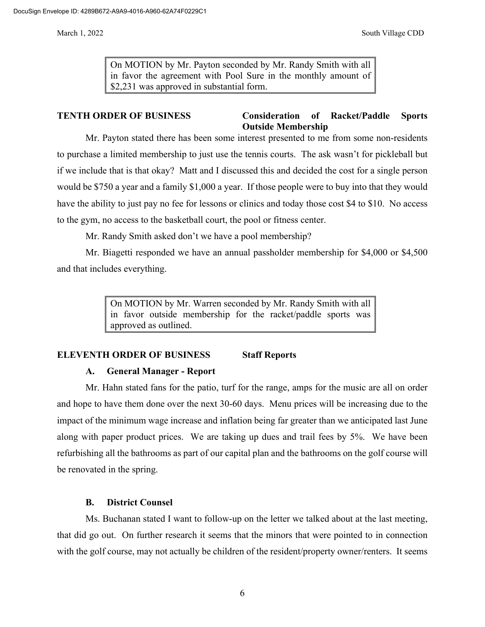On MOTION by Mr. Payton seconded by Mr. Randy Smith with all in favor the agreement with Pool Sure in the monthly amount of \$2,231 was approved in substantial form.

## **TENTH ORDER OF BUSINESS Consideration of Racket/Paddle Sports Outside Membership**

Mr. Payton stated there has been some interest presented to me from some non-residents to purchase a limited membership to just use the tennis courts. The ask wasn't for pickleball but if we include that is that okay? Matt and I discussed this and decided the cost for a single person would be \$750 a year and a family \$1,000 a year. If those people were to buy into that they would have the ability to just pay no fee for lessons or clinics and today those cost \$4 to \$10. No access to the gym, no access to the basketball court, the pool or fitness center.

Mr. Randy Smith asked don't we have a pool membership?

Mr. Biagetti responded we have an annual passholder membership for \$4,000 or \$4,500 and that includes everything.

> On MOTION by Mr. Warren seconded by Mr. Randy Smith with all in favor outside membership for the racket/paddle sports was approved as outlined.

# **ELEVENTH ORDER OF BUSINESS Staff Reports**

### **A. General Manager - Report**

Mr. Hahn stated fans for the patio, turf for the range, amps for the music are all on order and hope to have them done over the next 30-60 days. Menu prices will be increasing due to the impact of the minimum wage increase and inflation being far greater than we anticipated last June along with paper product prices. We are taking up dues and trail fees by 5%. We have been refurbishing all the bathrooms as part of our capital plan and the bathrooms on the golf course will be renovated in the spring.

### **B. District Counsel**

Ms. Buchanan stated I want to follow-up on the letter we talked about at the last meeting, that did go out. On further research it seems that the minors that were pointed to in connection with the golf course, may not actually be children of the resident/property owner/renters. It seems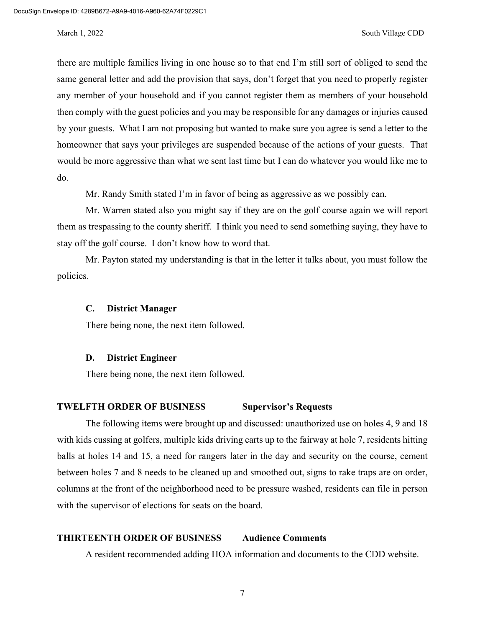there are multiple families living in one house so to that end I'm still sort of obliged to send the same general letter and add the provision that says, don't forget that you need to properly register any member of your household and if you cannot register them as members of your household then comply with the guest policies and you may be responsible for any damages or injuries caused by your guests. What I am not proposing but wanted to make sure you agree is send a letter to the homeowner that says your privileges are suspended because of the actions of your guests. That would be more aggressive than what we sent last time but I can do whatever you would like me to do.

Mr. Randy Smith stated I'm in favor of being as aggressive as we possibly can.

Mr. Warren stated also you might say if they are on the golf course again we will report them as trespassing to the county sheriff. I think you need to send something saying, they have to stay off the golf course. I don't know how to word that.

Mr. Payton stated my understanding is that in the letter it talks about, you must follow the policies.

#### **C. District Manager**

There being none, the next item followed.

### **D. District Engineer**

There being none, the next item followed.

## **TWELFTH ORDER OF BUSINESS Supervisor's Requests**

The following items were brought up and discussed: unauthorized use on holes 4, 9 and 18 with kids cussing at golfers, multiple kids driving carts up to the fairway at hole 7, residents hitting balls at holes 14 and 15, a need for rangers later in the day and security on the course, cement between holes 7 and 8 needs to be cleaned up and smoothed out, signs to rake traps are on order, columns at the front of the neighborhood need to be pressure washed, residents can file in person with the supervisor of elections for seats on the board.

### **THIRTEENTH ORDER OF BUSINESS Audience Comments**

A resident recommended adding HOA information and documents to the CDD website.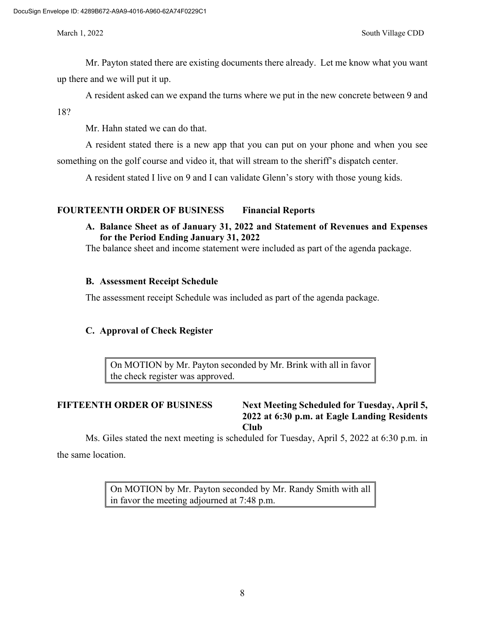Mr. Payton stated there are existing documents there already. Let me know what you want up there and we will put it up.

A resident asked can we expand the turns where we put in the new concrete between 9 and

18?

Mr. Hahn stated we can do that.

A resident stated there is a new app that you can put on your phone and when you see something on the golf course and video it, that will stream to the sheriff's dispatch center.

A resident stated I live on 9 and I can validate Glenn's story with those young kids.

# **FOURTEENTH ORDER OF BUSINESS Financial Reports**

# **A. Balance Sheet as of January 31, 2022 and Statement of Revenues and Expenses for the Period Ending January 31, 2022**

The balance sheet and income statement were included as part of the agenda package.

# **B. Assessment Receipt Schedule**

The assessment receipt Schedule was included as part of the agenda package.

# **C. Approval of Check Register**

On MOTION by Mr. Payton seconded by Mr. Brink with all in favor the check register was approved.

**FIFTEENTH ORDER OF BUSINESS Next Meeting Scheduled for Tuesday, April 5, 2022 at 6:30 p.m. at Eagle Landing Residents Club**

Ms. Giles stated the next meeting is scheduled for Tuesday, April 5, 2022 at 6:30 p.m. in the same location.

> On MOTION by Mr. Payton seconded by Mr. Randy Smith with all in favor the meeting adjourned at 7:48 p.m.